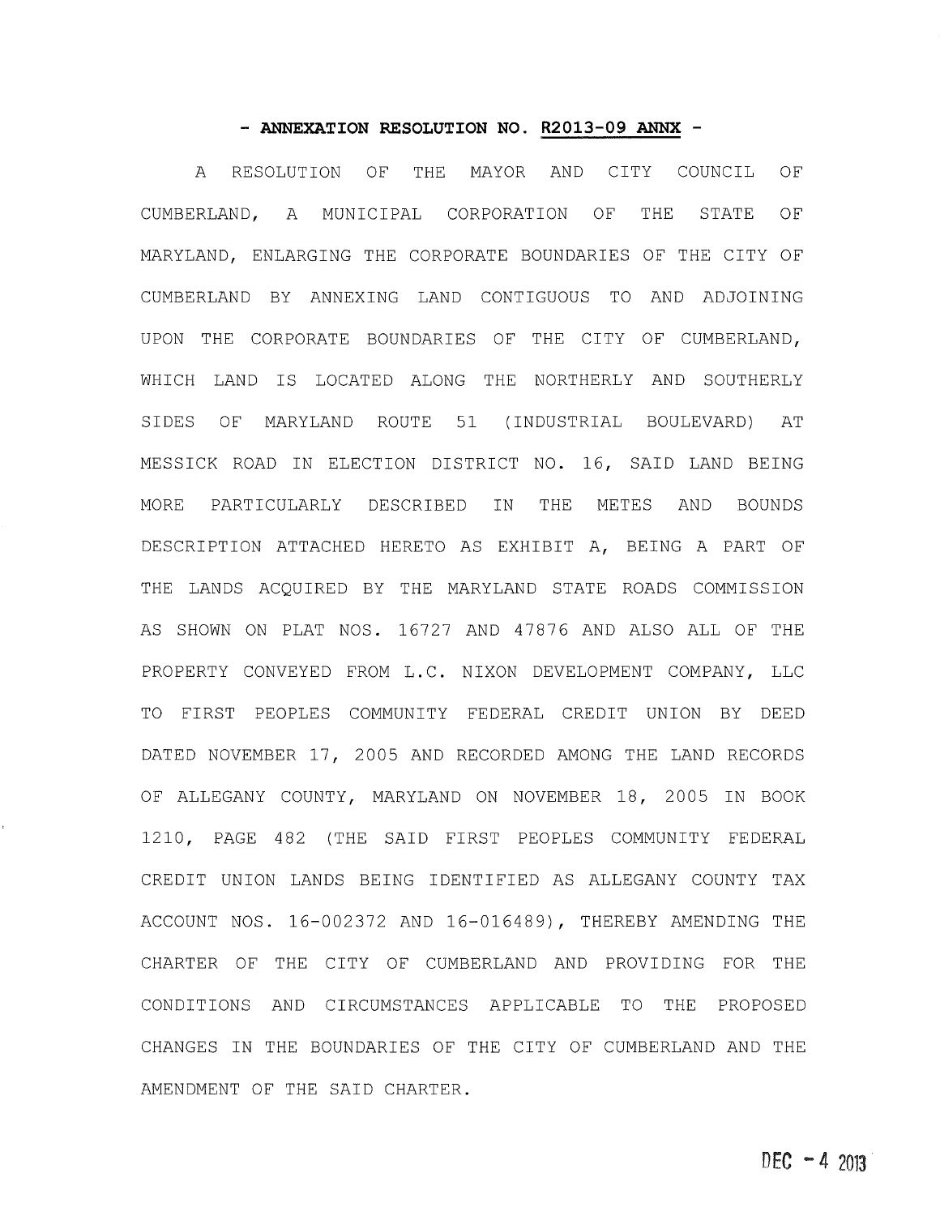## - ANNEXATION RESOLUTION NO. R2013-09 ANNX -

RESOLUTION OF THE MAYOR AND CITY COUNCIL OF  $A$ CUMBERLAND, A MUNICIPAL CORPORATION OF THE STATE OF MARYLAND, ENLARGING THE CORPORATE BOUNDARIES OF THE CITY OF CUMBERLAND BY ANNEXING LAND CONTIGUOUS TO AND ADJOINING UPON THE CORPORATE BOUNDARIES OF THE CITY OF CUMBERLAND, WHICH LAND IS LOCATED ALONG THE NORTHERLY AND SOUTHERLY SIDES OF MARYLAND ROUTE 51 (INDUSTRIAL BOULEVARD) AT MESSICK ROAD IN ELECTION DISTRICT NO. 16, SAID LAND BEING MORE PARTICULARLY DESCRIBED IN THE METES AND BOUNDS DESCRIPTION ATTACHED HERETO AS EXHIBIT A, BEING A PART OF THE LANDS ACQUIRED BY THE MARYLAND STATE ROADS COMMISSION AS SHOWN ON PLAT NOS. 16727 AND 47876 AND ALSO ALL OF THE PROPERTY CONVEYED FROM L.C. NIXON DEVELOPMENT COMPANY, LLC TO FIRST PEOPLES COMMUNITY FEDERAL CREDIT UNION BY DEED DATED NOVEMBER 17, 2005 AND RECORDED AMONG THE LAND RECORDS OF ALLEGANY COUNTY, MARYLAND ON NOVEMBER 18, 2005 IN BOOK 1210, PAGE 482 (THE SAID FIRST PEOPLES COMMUNITY FEDERAL CREDIT UNION LANDS BEING IDENTIFIED AS ALLEGANY COUNTY TAX ACCOUNT NOS. 16-002372 AND 16-016489), THEREBY AMENDING THE CHARTER OF THE CITY OF CUMBERLAND AND PROVIDING FOR THE CONDITIONS AND CIRCUMSTANCES APPLICABLE TO THE PROPOSED CHANGES IN THE BOUNDARIES OF THE CITY OF CUMBERLAND AND THE AMENDMENT OF THE SAID CHARTER.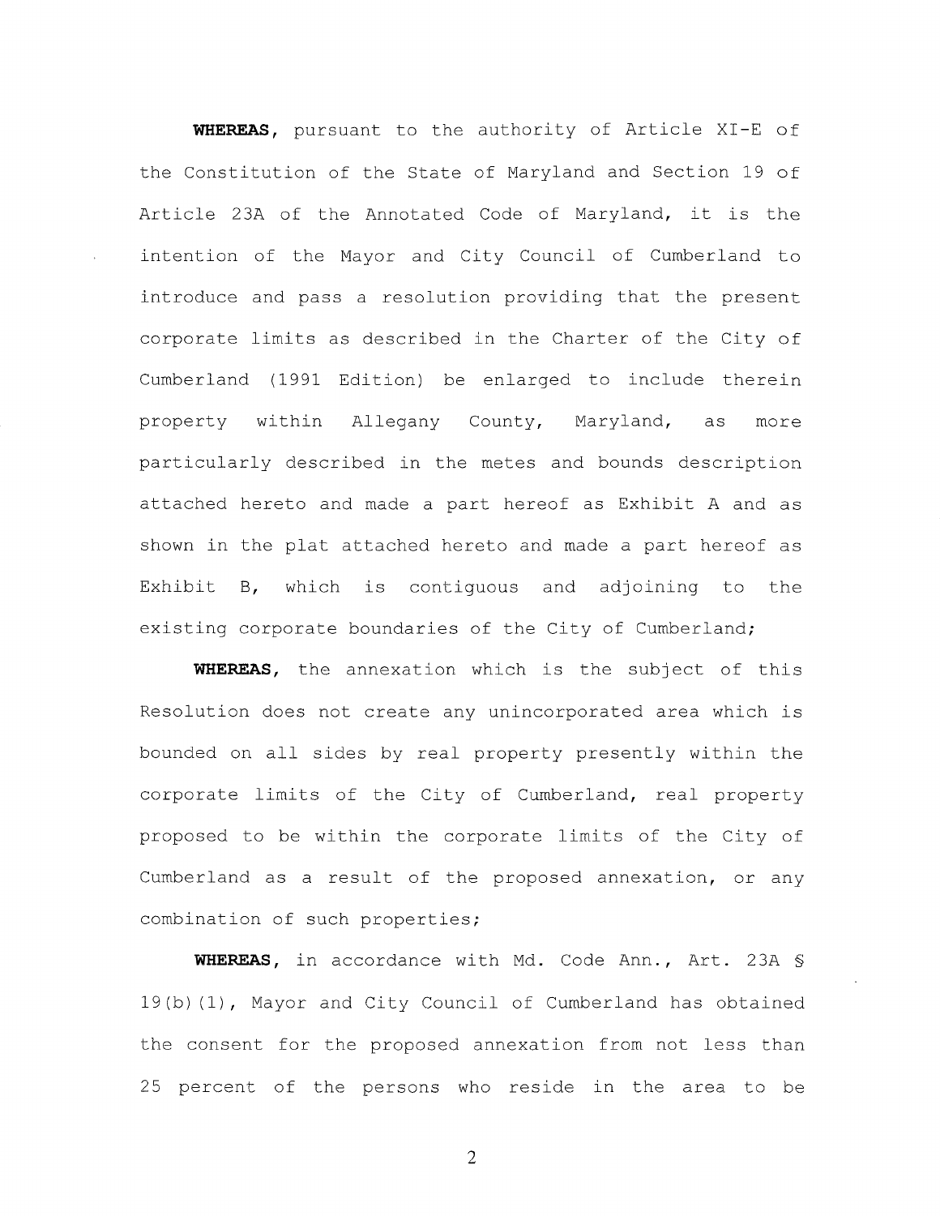WHEREAS, pursuant to the authority of Article XI-E of the Constitution of the State of Maryland and Section 19 of Article 23A of the Annotated Code of Maryland, it is the intention of the Mayor and City Council of Cumberland to introduce and pass a resolution providing that the present corporate limits as described in the Charter of the City of Cumberland (1991 Edition) be enlarged to include therein property within Allegany County, Maryland, as more particularly described in the metes and bounds description attached hereto and made a part hereof as Exhibit A and as shown in the plat attached hereto and made a part hereof as B, which is contiquous and adjoining to the Exhibit existing corporate boundaries of the City of Cumberland;

**WHEREAS,** the annexation which is the subject of this Resolution does not create any unincorporated area which is bounded on all sides by real property presently within the corporate limits of the City of Cumberland, real property proposed to be within the corporate limits of the City of Cumberland as a result of the proposed annexation, or any combination of such properties;

**WHEREAS**, in accordance with Md. Code Ann., Art. 23A § 19(b)(1), Mayor and City Council of Cumberland has obtained the consent for the proposed annexation from not less than 25 percent of the persons who reside in the area to be

 $\overline{2}$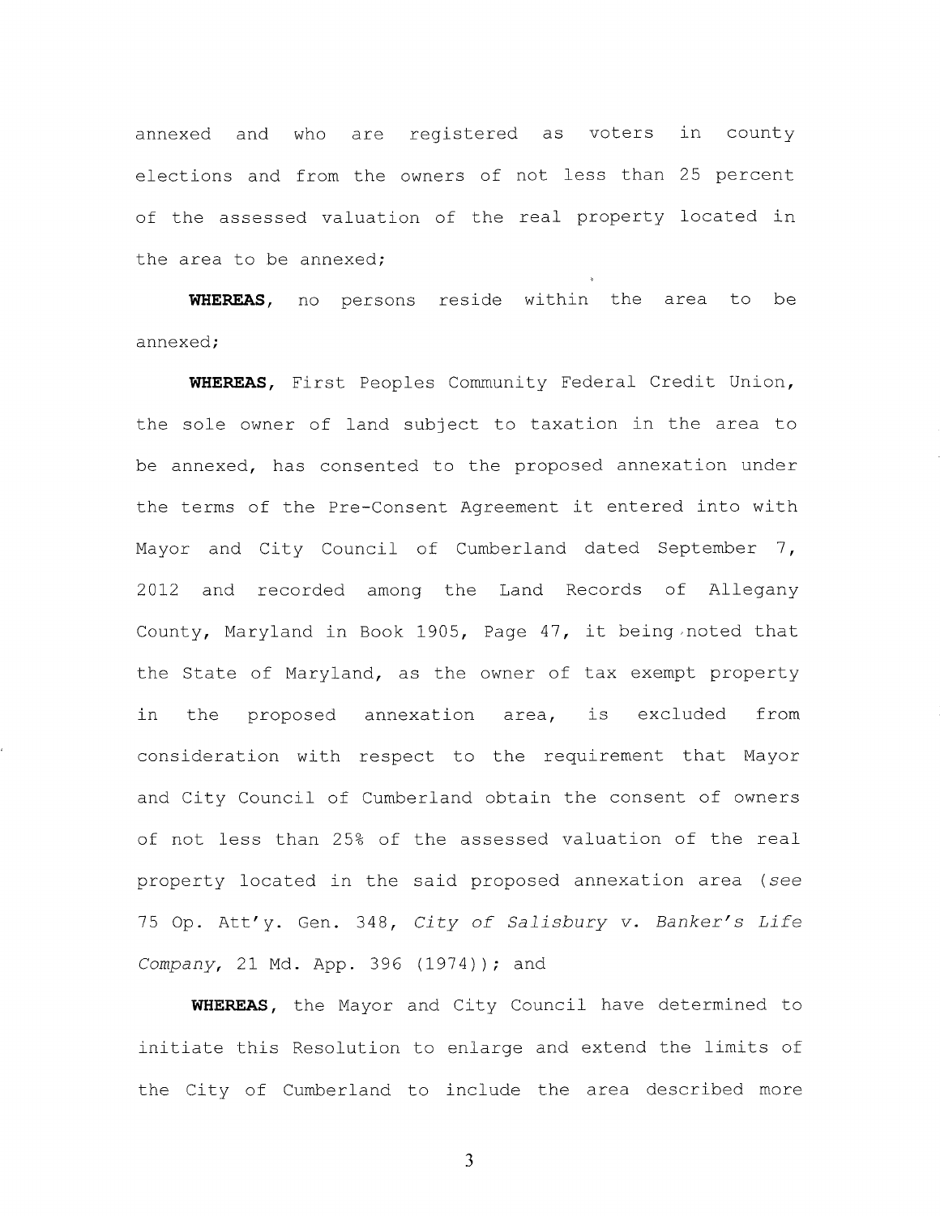and who in county annexed are registered as voters elections and from the owners of not less than 25 percent of the assessed valuation of the real property located in the area to be annexed;

WHEREAS, no persons reside within the area to be annexed:

WHEREAS, First Peoples Community Federal Credit Union, the sole owner of land subject to taxation in the area to be annexed, has consented to the proposed annexation under the terms of the Pre-Consent Agreement it entered into with Mayor and City Council of Cumberland dated September 7, 2012 and recorded among the Land Records of Allegany County, Maryland in Book 1905, Page 47, it being noted that the State of Maryland, as the owner of tax exempt property in the proposed annexation area, is excluded from consideration with respect to the requirement that Mayor and City Council of Cumberland obtain the consent of owners of not less than 25% of the assessed valuation of the real property located in the said proposed annexation area (see 75 Op. Att'y. Gen. 348, City of Salisbury v. Banker's Life Company, 21 Md. App. 396 (1974)); and

WHEREAS, the Mayor and City Council have determined to initiate this Resolution to enlarge and extend the limits of the City of Cumberland to include the area described more

3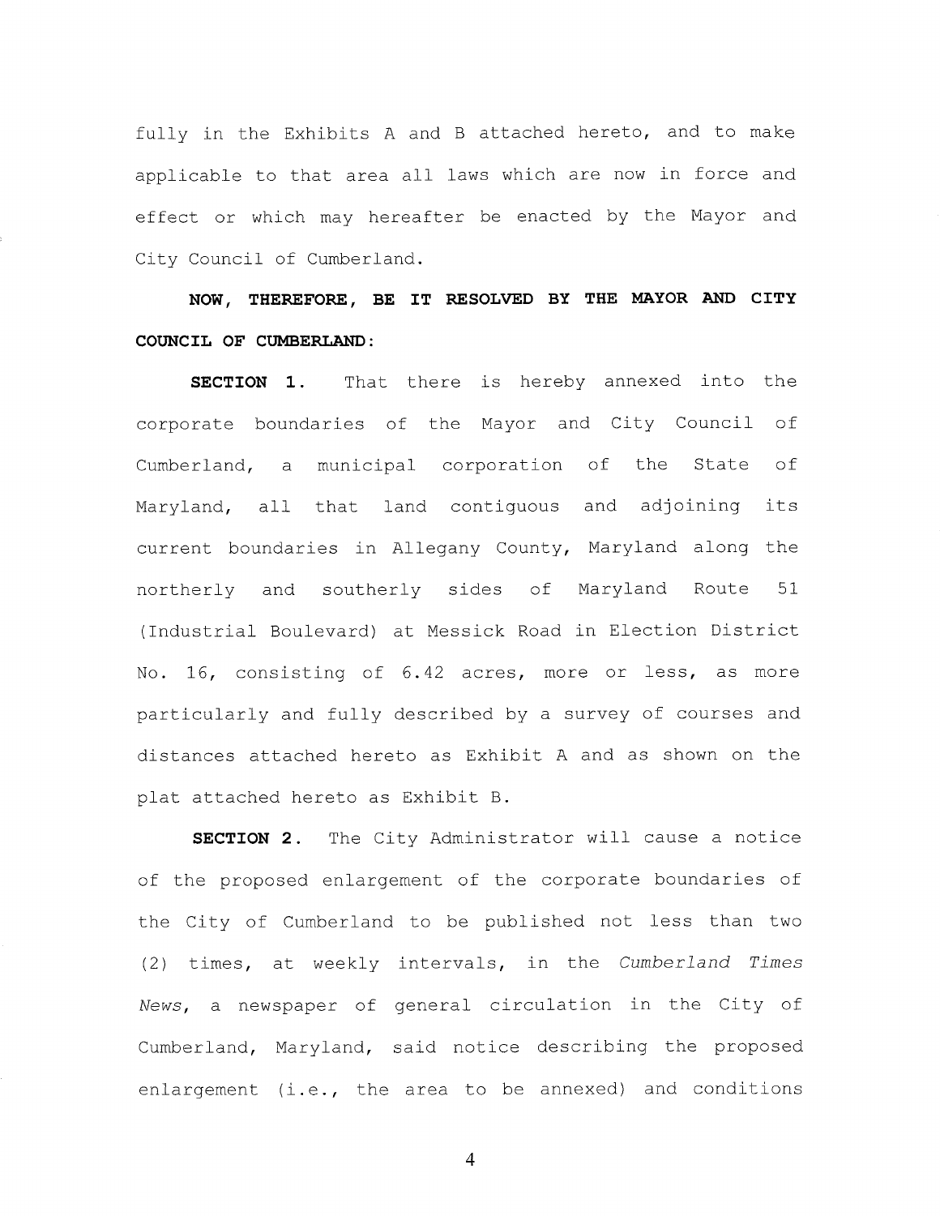fully in the Exhibits A and B attached hereto, and to make applicable to that area all laws which are now in force and effect or which may hereafter be enacted by the Mayor and City Council of Cumberland.

## NOW, THEREFORE, BE IT RESOLVED BY THE MAYOR AND CITY COUNCIL OF CUMBERLAND:

That there is hereby annexed into the SECTION 1. corporate boundaries of the Mayor and City Council  $\circ$ f Cumberland, a municipal corporation of the State of Maryland, all that land contiguous and adjoining its current boundaries in Allegany County, Maryland along the northerly and southerly sides of Maryland Route 51 (Industrial Boulevard) at Messick Road in Election District No. 16, consisting of 6.42 acres, more or less, as more particularly and fully described by a survey of courses and distances attached hereto as Exhibit A and as shown on the plat attached hereto as Exhibit B.

The City Administrator will cause a notice SECTION 2. of the proposed enlargement of the corporate boundaries of the City of Cumberland to be published not less than two (2) times, at weekly intervals, in the Cumberland Times News, a newspaper of general circulation in the City of Cumberland, Maryland, said notice describing the proposed enlargement (i.e., the area to be annexed) and conditions

 $\overline{4}$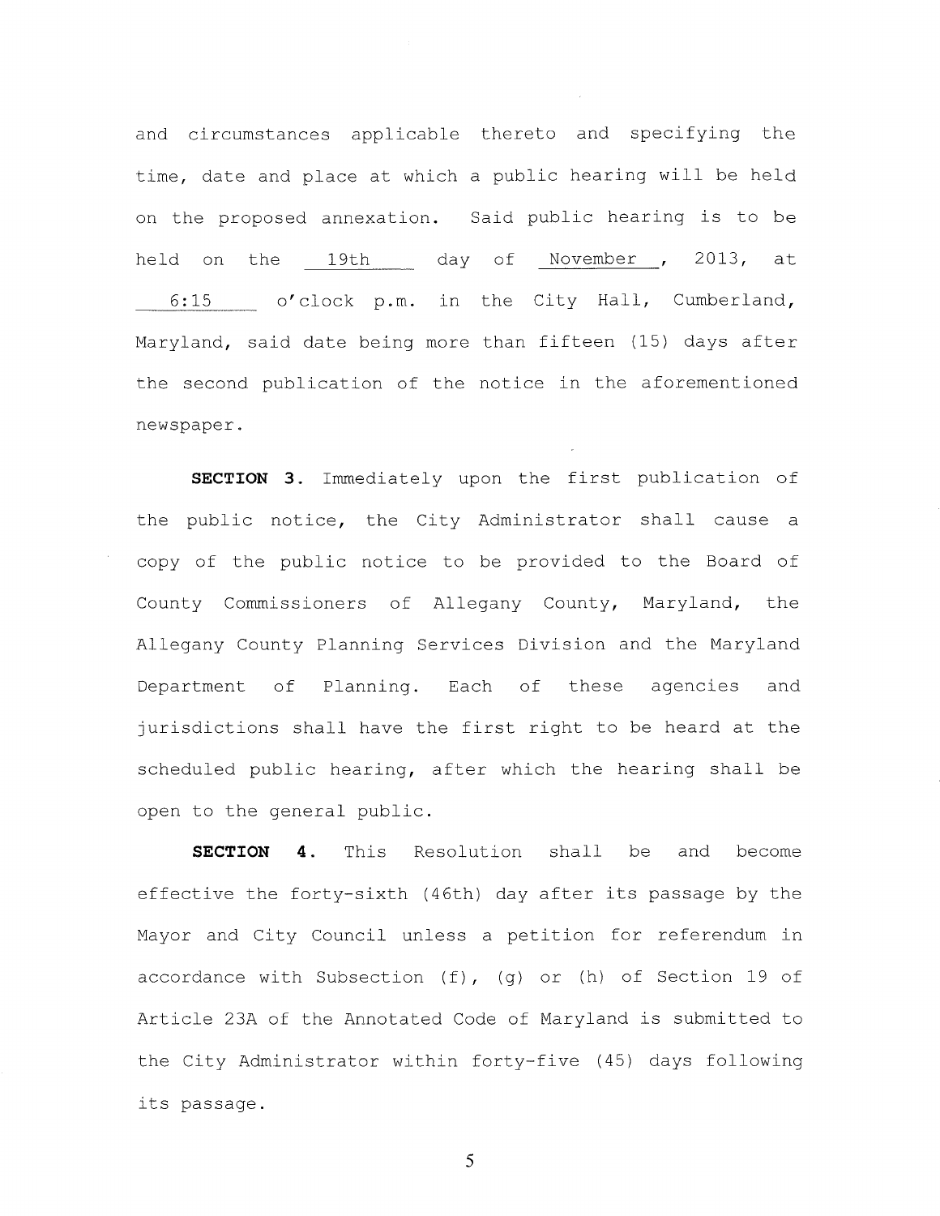and circumstances applicable thereto and specifying the time, date and place at which a public hearing will be held on the proposed annexation. Said public hearing is to be held on the 19th day of November, 2013, at 6:15 o'clock p.m. in the City Hall, Cumberland, Maryland, said date being more than fifteen (15) days after the second publication of the notice in the aforementioned newspaper.

SECTION 3. Immediately upon the first publication of the public notice, the City Administrator shall cause a copy of the public notice to be provided to the Board of County Commissioners of Allegany County, Maryland, the Allegany County Planning Services Division and the Maryland Department of Planning. Each of these agencies and jurisdictions shall have the first right to be heard at the scheduled public hearing, after which the hearing shall be open to the general public.

Resolution shall **SECTION** 4. This be and become effective the forty-sixth (46th) day after its passage by the Mayor and City Council unless a petition for referendum in accordance with Subsection  $(f)$ ,  $(q)$  or  $(h)$  of Section 19 of Article 23A of the Annotated Code of Maryland is submitted to the City Administrator within forty-five (45) days following its passage.

5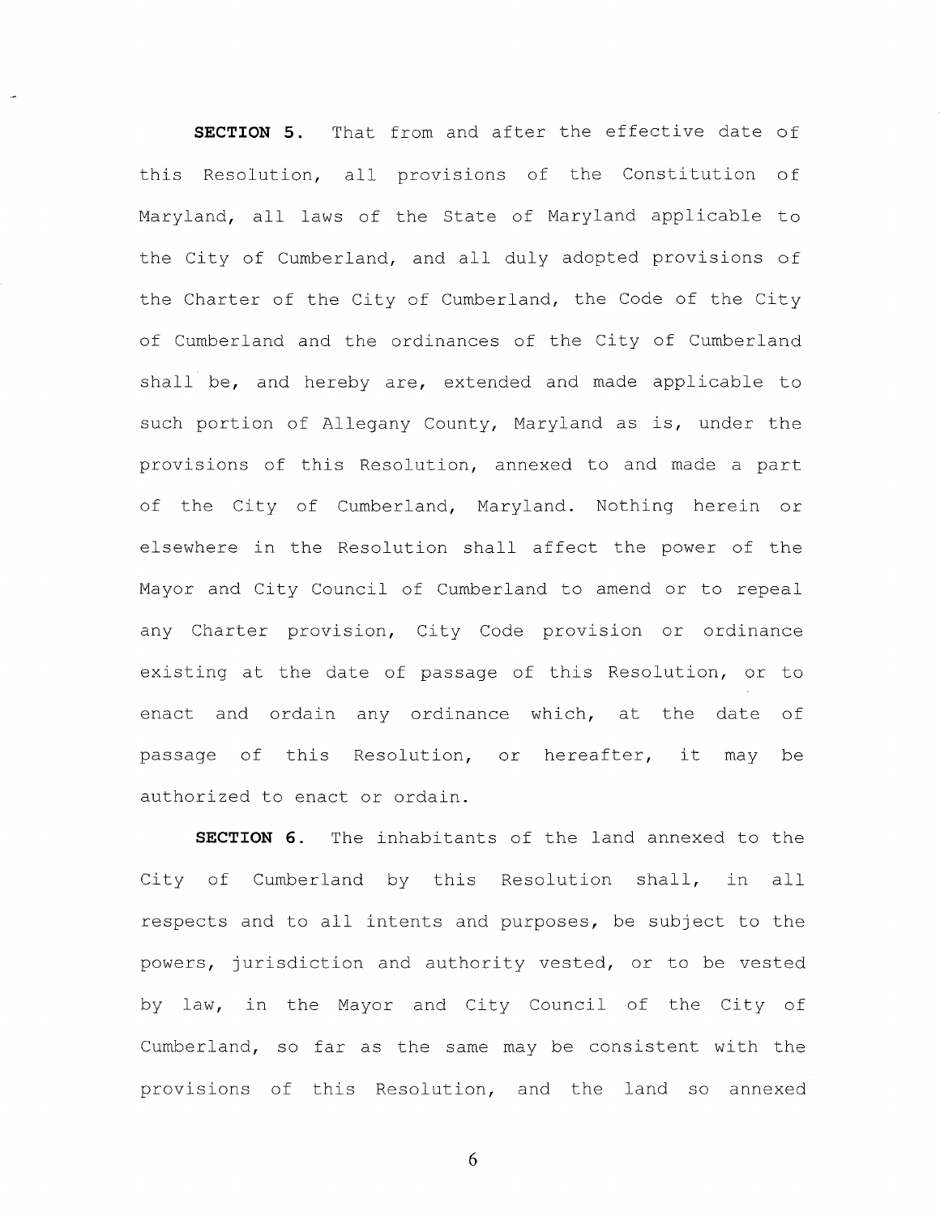SECTION 5. That from and after the effective date of this Resolution, all provisions of the Constitution of Maryland, all laws of the State of Maryland applicable to the City of Cumberland, and all duly adopted provisions of the Charter of the City of Cumberland, the Code of the City of Cumberland and the ordinances of the City of Cumberland shall be, and hereby are, extended and made applicable to such portion of Allegany County, Maryland as is, under the provisions of this Resolution, annexed to and made a part of the City of Cumberland, Maryland. Nothing herein or elsewhere in the Resolution shall affect the power of the Mayor and City Council of Cumberland to amend or to repeal any Charter provision, City Code provision or ordinance existing at the date of passage of this Resolution, or to enact and ordain any ordinance which, at the date of passage of this Resolution, or hereafter, it may be authorized to enact or ordain.

SECTION 6. The inhabitants of the land annexed to the City of Cumberland by this Resolution shall, in  $a11$ respects and to all intents and purposes, be subject to the powers, jurisdiction and authority vested, or to be vested by law, in the Mayor and City Council of the City of Cumberland, so far as the same may be consistent with the provisions of this Resolution, and the land so annexed

6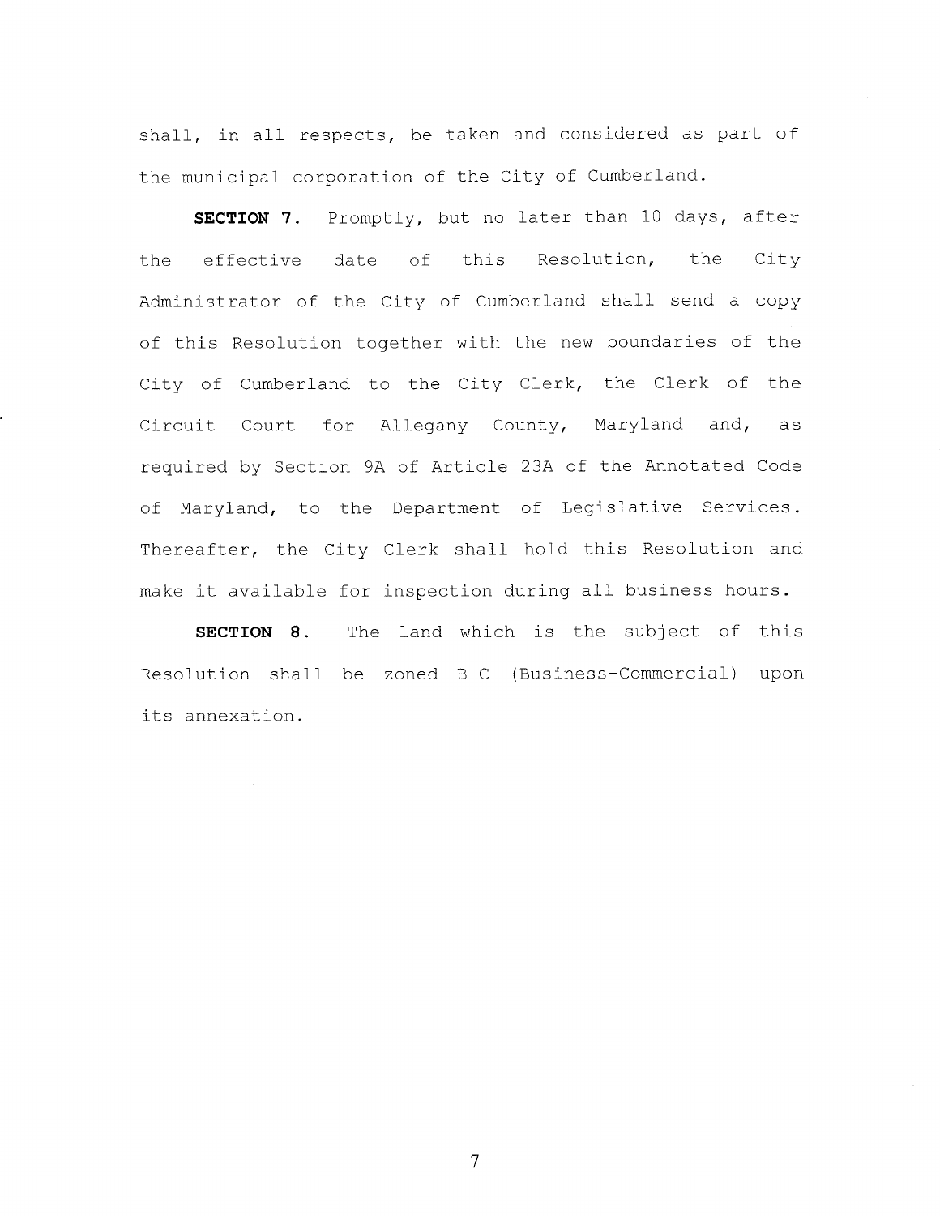shall, in all respects, be taken and considered as part of the municipal corporation of the City of Cumberland.

SECTION 7. Promptly, but no later than 10 days, after effective date of this Resolution, the City the Administrator of the City of Cumberland shall send a copy of this Resolution together with the new boundaries of the City of Cumberland to the City Clerk, the Clerk of the Circuit Court for Allegany County, Maryland and, as required by Section 9A of Article 23A of the Annotated Code of Maryland, to the Department of Legislative Services. Thereafter, the City Clerk shall hold this Resolution and make it available for inspection during all business hours.

The land which is the subject of this SECTION 8. Resolution shall be zoned B-C (Business-Commercial) upon its annexation.

 $\overline{7}$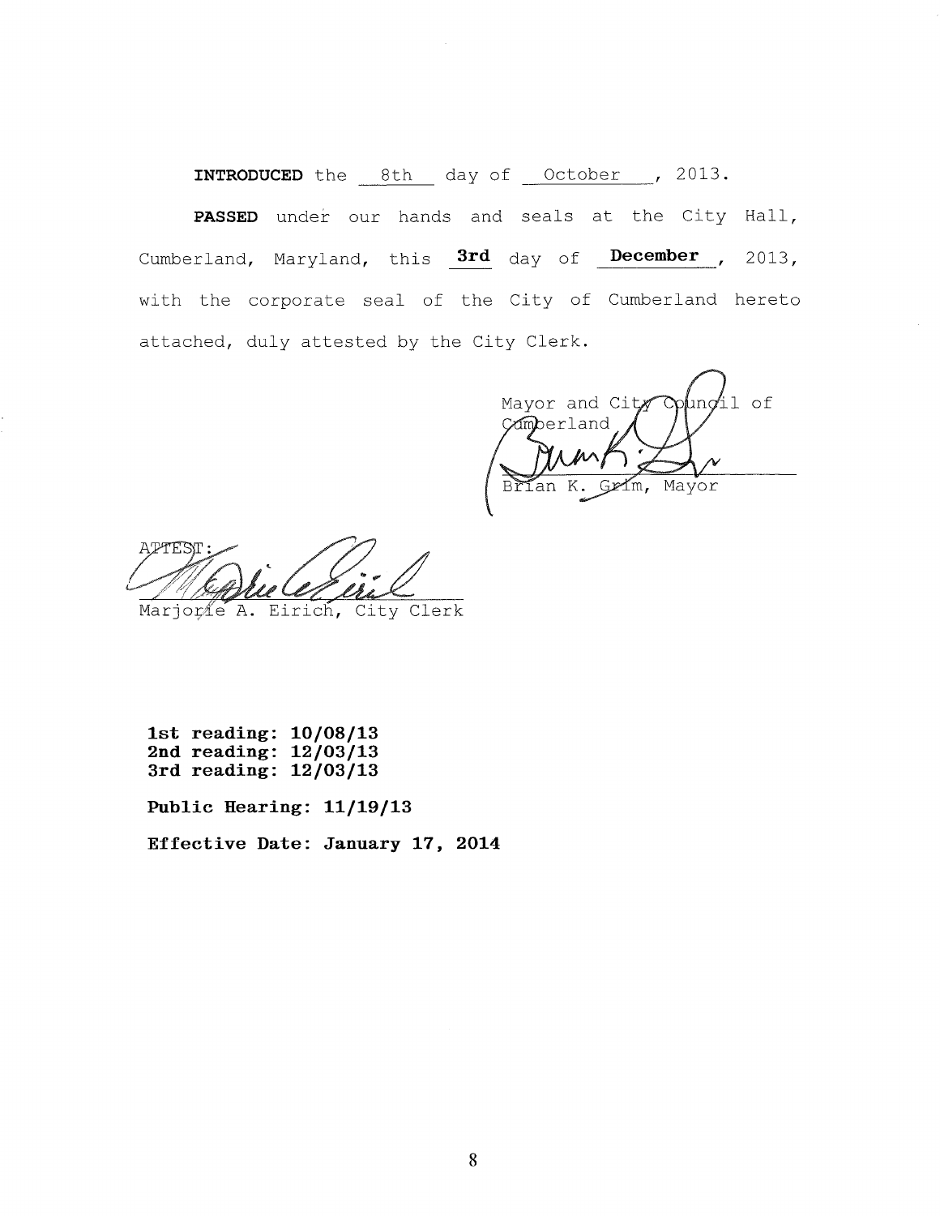INTRODUCED the 8th day of October , 2013.

PASSED under our hands and seals at the City Hall, Cumberland, Maryland, this 3rd day of December, 2013, with the corporate seal of the City of Cumberland hereto attached, duly attested by the City Clerk.

Mayor and City uno⁄il of Comperland ムヘ ían K. Grím, Mayor Βř

Marjorie A. Eirich, City Clerk

1st reading: 10/08/13 2nd reading:  $12/03/13$ 3rd reading:  $12/03/13$ 

Public Hearing: 11/19/13

Effective Date: January 17, 2014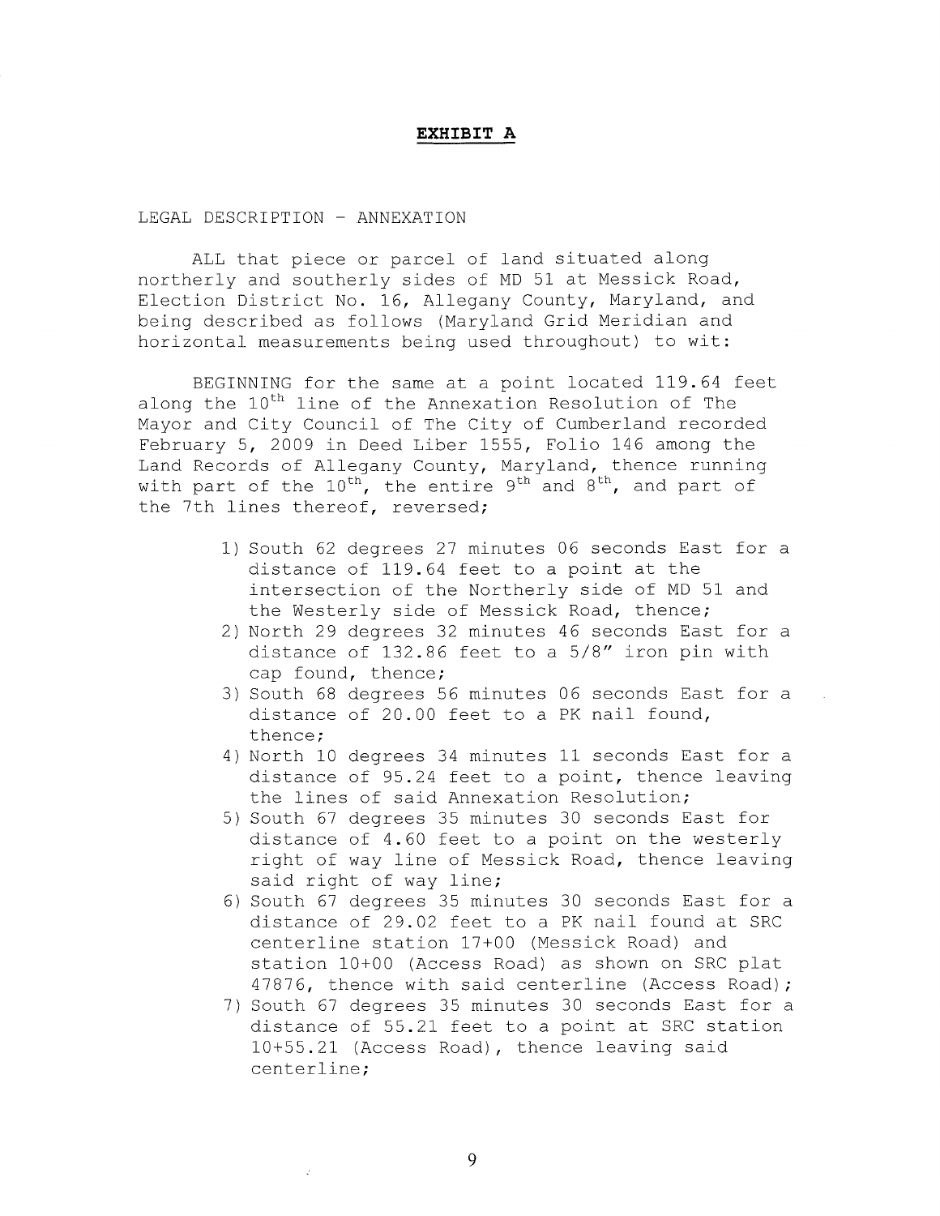## **EXHIBIT A**

LEGAL DESCRIPTION - ANNEXATION

ALL that piece or parcel of land situated along northerly and southerly sides of MD 51 at Messick Road, Election District No. 16, Allegany County, Maryland, and being described as follows (Maryland Grid Meridian and horizontal measurements being used throughout) to wit:

BEGINNING for the same at a point located 119.64 feet along the 10<sup>th</sup> line of the Annexation Resolution of The Mayor and City Council of The City of Cumberland recorded February 5, 2009 in Deed Liber 1555, Folio 146 among the Land Records of Allegany County, Maryland, thence running with part of the  $10^{\text{th}}$ , the entire  $9^{\text{th}}$  and  $8^{\text{th}}$ , and part of the 7th lines thereof, reversed;

- 1) South 62 degrees 27 minutes 06 seconds East for a distance of 119.64 feet to a point at the intersection of the Northerly side of MD 51 and the Westerly side of Messick Road, thence;
- 2) North 29 degrees 32 minutes 46 seconds East for a distance of 132.86 feet to a 5/8" iron pin with cap found, thence;
- 3) South 68 degrees 56 minutes 06 seconds East for a distance of 20.00 feet to a PK nail found, thence;
- 4) North 10 degrees 34 minutes 11 seconds East for a distance of 95.24 feet to a point, thence leaving the lines of said Annexation Resolution;
- 5) South 67 degrees 35 minutes 30 seconds East for distance of 4.60 feet to a point on the westerly right of way line of Messick Road, thence leaving said right of way line;
- 6) South 67 degrees 35 minutes 30 seconds East for a distance of 29.02 feet to a PK nail found at SRC centerline station 17+00 (Messick Road) and station 10+00 (Access Road) as shown on SRC plat 47876, thence with said centerline (Access Road);
- 7) South 67 degrees 35 minutes 30 seconds East for a distance of 55.21 feet to a point at SRC station 10+55.21 (Access Road), thence leaving said centerline;

Ġ,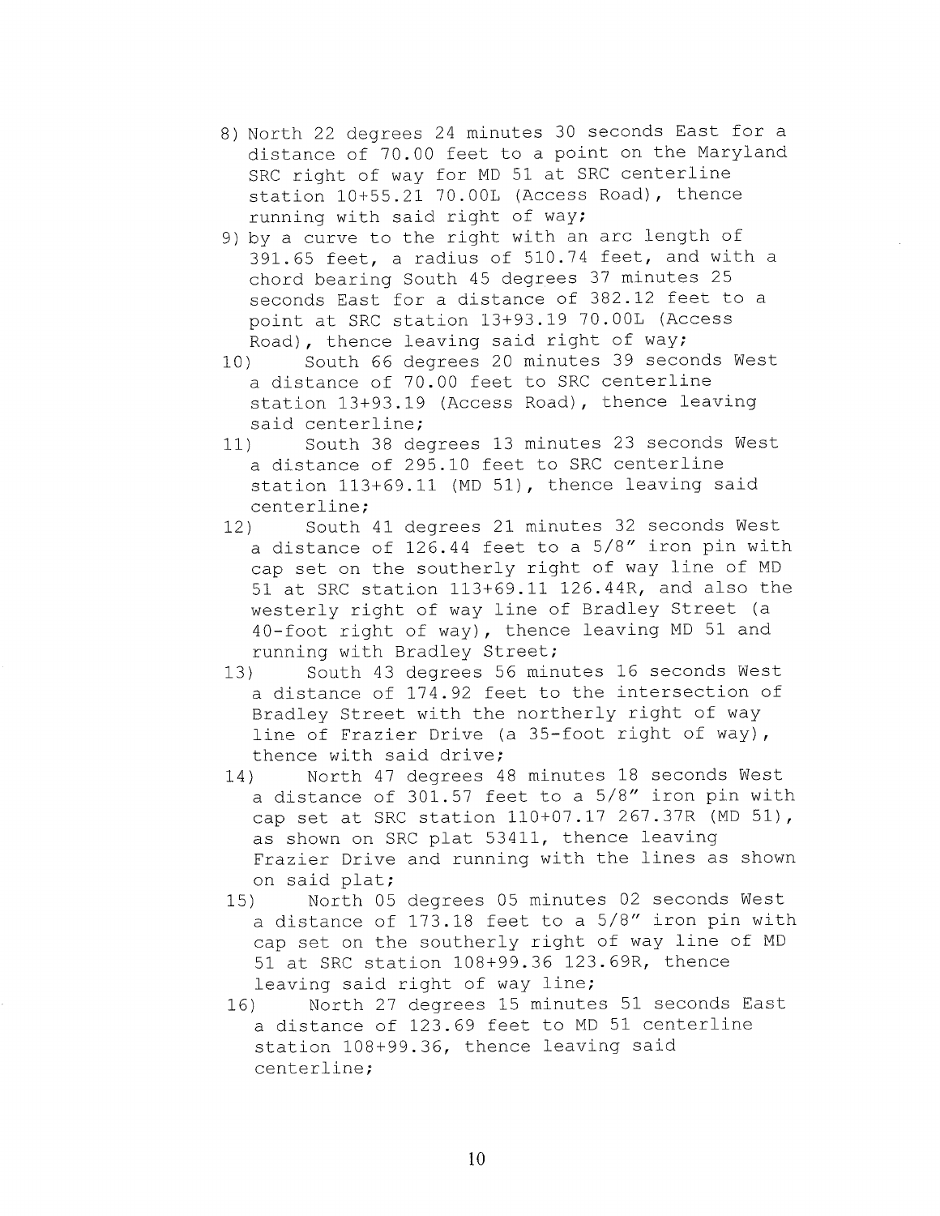- 8) North 22 degrees 24 minutes 30 seconds East for a distance of 70.00 feet to a point on the Maryland SRC right of way for MD 51 at SRC centerline station 10+55.21 70.00L (Access Road), thence running with said right of way;
- 9) by a curve to the right with an arc length of 391.65 feet, a radius of 510.74 feet, and with a chord bearing South 45 degrees 37 minutes 25 seconds East for a distance of 382.12 feet to a point at SRC station 13+93.19 70.00L (Access Road), thence leaving said right of way;
- South 66 degrees 20 minutes 39 seconds West  $10)$ a distance of 70.00 feet to SRC centerline station 13+93.19 (Access Road), thence leaving said centerline;
- South 38 degrees 13 minutes 23 seconds West  $11)$ a distance of 295.10 feet to SRC centerline station 113+69.11 (MD 51), thence leaving said centerline;
- South 41 degrees 21 minutes 32 seconds West  $12)$ a distance of 126.44 feet to a 5/8" iron pin with cap set on the southerly right of way line of MD 51 at SRC station 113+69.11 126.44R, and also the westerly right of way line of Bradley Street (a 40-foot right of way), thence leaving MD 51 and running with Bradley Street;
- South 43 degrees 56 minutes 16 seconds West  $13)$ a distance of 174.92 feet to the intersection of Bradley Street with the northerly right of way line of Frazier Drive (a 35-foot right of way), thence with said drive;
- North 47 degrees 48 minutes 18 seconds West  $14)$ a distance of 301.57 feet to a 5/8" iron pin with cap set at SRC station 110+07.17 267.37R (MD 51), as shown on SRC plat 53411, thence leaving Frazier Drive and running with the lines as shown on said plat;
- North 05 degrees 05 minutes 02 seconds West  $15)$ a distance of 173.18 feet to a 5/8" iron pin with cap set on the southerly right of way line of MD 51 at SRC station 108+99.36 123.69R, thence leaving said right of way line;
- North 27 degrees 15 minutes 51 seconds East 16) a distance of 123.69 feet to MD 51 centerline station 108+99.36, thence leaving said centerline;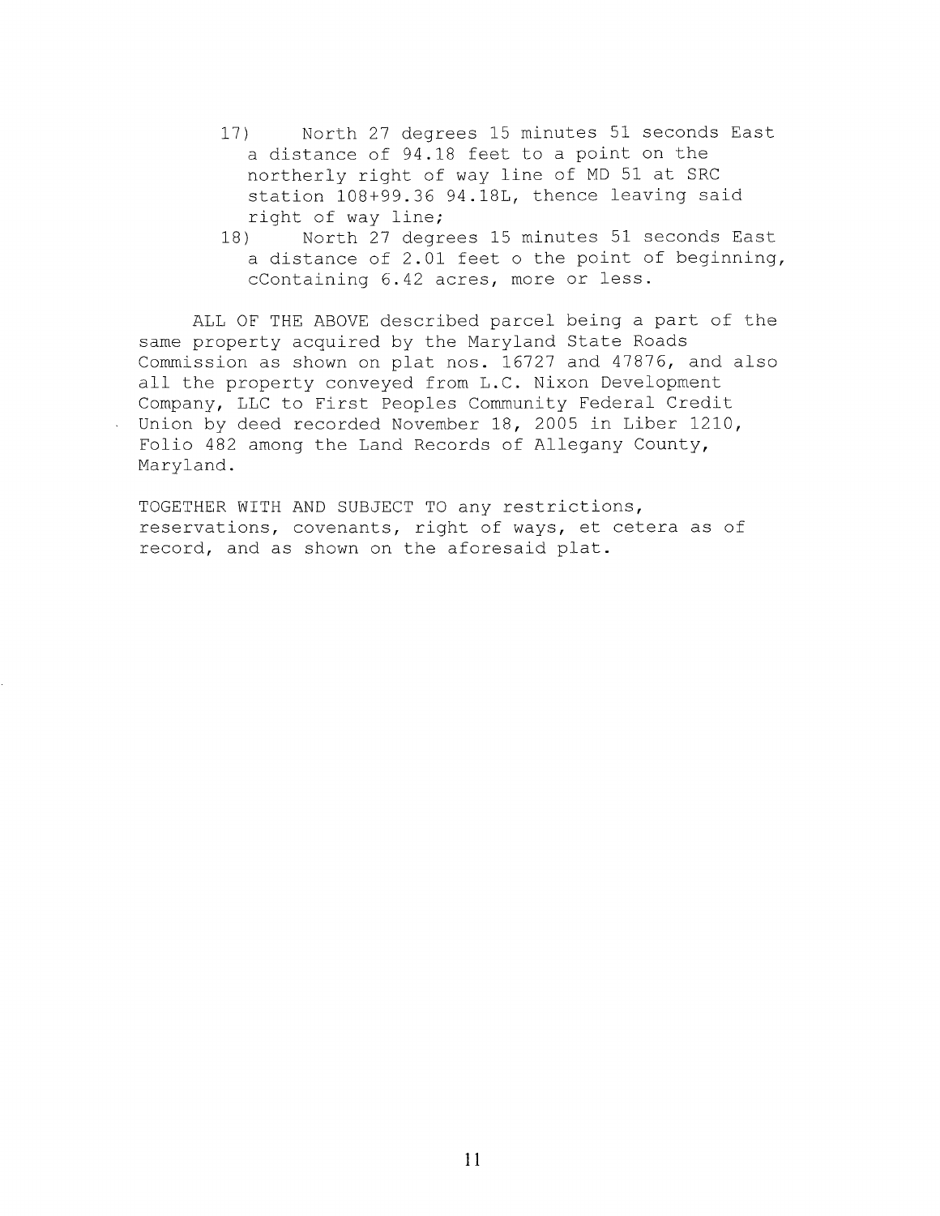- $17)$ North 27 degrees 15 minutes 51 seconds East a distance of 94.18 feet to a point on the northerly right of way line of MD 51 at SRC station 108+99.36 94.18L, thence leaving said right of way line;
- $18)$ North 27 degrees 15 minutes 51 seconds East a distance of 2.01 feet o the point of beginning, cContaining 6.42 acres, more or less.

ALL OF THE ABOVE described parcel being a part of the same property acquired by the Maryland State Roads Commission as shown on plat nos. 16727 and 47876, and also all the property conveyed from L.C. Nixon Development Company, LLC to First Peoples Community Federal Credit Union by deed recorded November 18, 2005 in Liber 1210, Folio 482 among the Land Records of Allegany County, Maryland.

TOGETHER WITH AND SUBJECT TO any restrictions, reservations, covenants, right of ways, et cetera as of record, and as shown on the aforesaid plat.